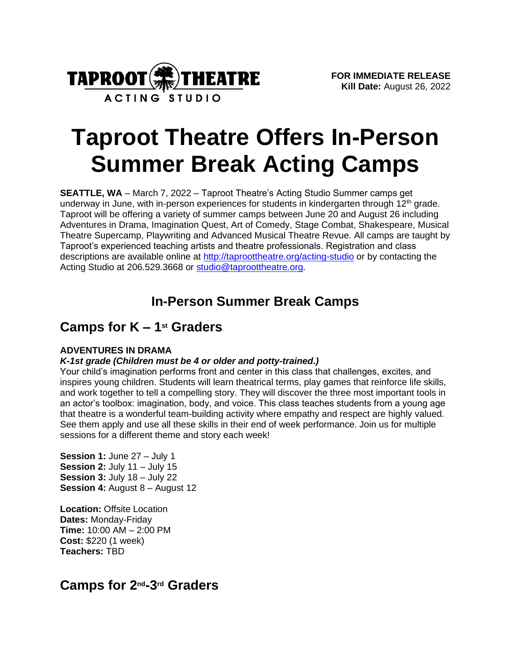

# **Taproot Theatre Offers In-Person Summer Break Acting Camps**

**SEATTLE, WA** – March 7, 2022 – Taproot Theatre's Acting Studio Summer camps get underway in June, with in-person experiences for students in kindergarten through 12<sup>th</sup> grade. Taproot will be offering a variety of summer camps between June 20 and August 26 including Adventures in Drama, Imagination Quest, Art of Comedy, Stage Combat, Shakespeare, Musical Theatre Supercamp, Playwriting and Advanced Musical Theatre Revue. All camps are taught by Taproot's experienced teaching artists and theatre professionals. Registration and class descriptions are available online at<http://taproottheatre.org/acting-studio> or by contacting the Acting Studio at 206.529.3668 or [studio@taproottheatre.org.](mailto:studio@taproottheatre.org)

# **In-Person Summer Break Camps**

# **Camps for K – 1 st Graders**

# **ADVENTURES IN DRAMA**

# *K-1st grade (Children must be 4 or older and potty-trained.)*

Your child's imagination performs front and center in this class that challenges, excites, and inspires young children. Students will learn theatrical terms, play games that reinforce life skills, and work together to tell a compelling story. They will discover the three most important tools in an actor's toolbox: imagination, body, and voice. This class teaches students from a young age that theatre is a wonderful team-building activity where empathy and respect are highly valued. See them apply and use all these skills in their end of week performance. Join us for multiple sessions for a different theme and story each week!

**Session 1:** June 27 – July 1 **Session 2:** July 11 – July 15 **Session 3:** July 18 – July 22 **Session 4: August 8 – August 12** 

**Location:** Offsite Location **Dates:** Monday-Friday **Time:** 10:00 AM – 2:00 PM **Cost:** \$220 (1 week) **Teachers:** TBD

# **Camps for 2nd-3 rd Graders**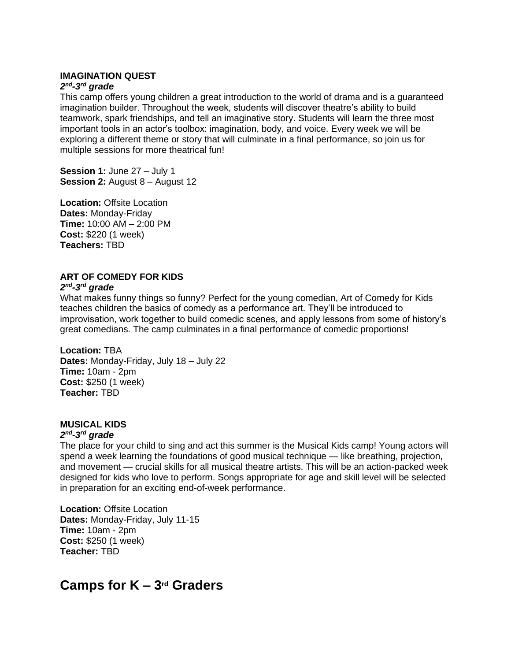#### **IMAGINATION QUEST**

#### *2 nd -3 rd grade*

This camp offers young children a great introduction to the world of drama and is a guaranteed imagination builder. Throughout the week, students will discover theatre's ability to build teamwork, spark friendships, and tell an imaginative story. Students will learn the three most important tools in an actor's toolbox: imagination, body, and voice. Every week we will be exploring a different theme or story that will culminate in a final performance, so join us for multiple sessions for more theatrical fun!

**Session 1:** June 27 – July 1 **Session 2: August 8 – August 12** 

**Location:** Offsite Location **Dates:** Monday-Friday **Time:** 10:00 AM – 2:00 PM **Cost:** \$220 (1 week) **Teachers:** TBD

# **ART OF COMEDY FOR KIDS**

#### *2 nd -3 rd grade*

What makes funny things so funny? Perfect for the young comedian, Art of Comedy for Kids teaches children the basics of comedy as a performance art. They'll be introduced to improvisation, work together to build comedic scenes, and apply lessons from some of history's great comedians. The camp culminates in a final performance of comedic proportions!

# **Location:** TBA

**Dates:** Monday-Friday, July 18 – July 22 **Time:** 10am - 2pm **Cost:** \$250 (1 week) **Teacher:** TBD

# **MUSICAL KIDS**

#### *2 nd -3 rd grade*

The place for your child to sing and act this summer is the Musical Kids camp! Young actors will spend a week learning the foundations of good musical technique — like breathing, projection, and movement — crucial skills for all musical theatre artists. This will be an action-packed week designed for kids who love to perform. Songs appropriate for age and skill level will be selected in preparation for an exciting end-of-week performance.

**Location:** Offsite Location **Dates:** Monday-Friday, July 11-15 **Time:** 10am - 2pm **Cost:** \$250 (1 week) **Teacher:** TBD

# **Camps for K – 3 rd Graders**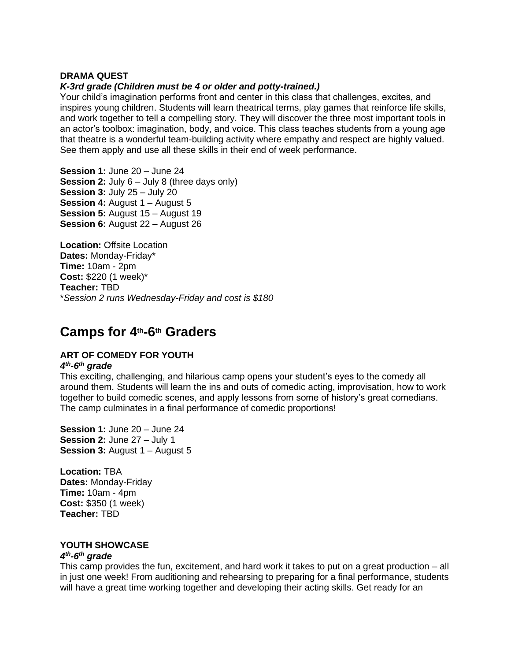#### **DRAMA QUEST**

#### *K-3rd grade (Children must be 4 or older and potty-trained.)*

Your child's imagination performs front and center in this class that challenges, excites, and inspires young children. Students will learn theatrical terms, play games that reinforce life skills, and work together to tell a compelling story. They will discover the three most important tools in an actor's toolbox: imagination, body, and voice. This class teaches students from a young age that theatre is a wonderful team-building activity where empathy and respect are highly valued. See them apply and use all these skills in their end of week performance.

**Session 1:** June 20 – June 24 **Session 2:** July 6 – July 8 (three days only) **Session 3:** July 25 – July 20 **Session 4: August 1 – August 5 Session 5:** August 15 – August 19 **Session 6:** August 22 – August 26

**Location:** Offsite Location **Dates:** Monday-Friday\* **Time:** 10am - 2pm **Cost:** \$220 (1 week)\* **Teacher:** TBD \**Session 2 runs Wednesday-Friday and cost is \$180*

# **Camps for 4th-6 th Graders**

#### **ART OF COMEDY FOR YOUTH** *4 th -6 th grade*

This exciting, challenging, and hilarious camp opens your student's eyes to the comedy all around them. Students will learn the ins and outs of comedic acting, improvisation, how to work together to build comedic scenes, and apply lessons from some of history's great comedians. The camp culminates in a final performance of comedic proportions!

**Session 1:** June 20 – June 24 **Session 2:** June 27 – July 1 **Session 3: August 1 – August 5** 

**Location:** TBA **Dates:** Monday-Friday **Time:** 10am - 4pm **Cost:** \$350 (1 week) **Teacher:** TBD

# **YOUTH SHOWCASE**

#### *4 th -6 th grade*

This camp provides the fun, excitement, and hard work it takes to put on a great production – all in just one week! From auditioning and rehearsing to preparing for a final performance, students will have a great time working together and developing their acting skills. Get ready for an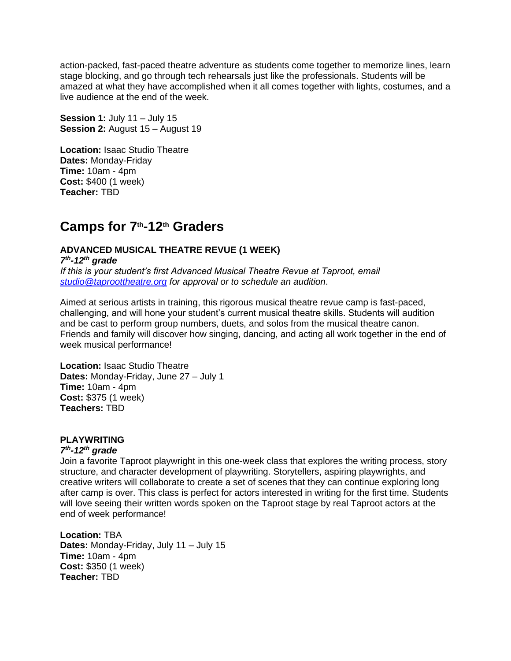action-packed, fast-paced theatre adventure as students come together to memorize lines, learn stage blocking, and go through tech rehearsals just like the professionals. Students will be amazed at what they have accomplished when it all comes together with lights, costumes, and a live audience at the end of the week.

**Session 1:** July 11 – July 15 **Session 2: August 15 – August 19** 

**Location:** Isaac Studio Theatre **Dates:** Monday-Friday **Time:** 10am - 4pm **Cost:** \$400 (1 week) **Teacher:** TBD

# **Camps for 7th-12th Graders**

# **ADVANCED MUSICAL THEATRE REVUE (1 WEEK)**

*7 th -12th grade If this is your student's first Advanced Musical Theatre Revue at Taproot, email* 

*[studio@taproottheatre.org](mailto:studio@taproottheatre.org) for approval or to schedule an audition*.

Aimed at serious artists in training, this rigorous musical theatre revue camp is fast-paced, challenging, and will hone your student's current musical theatre skills. Students will audition and be cast to perform group numbers, duets, and solos from the musical theatre canon. Friends and family will discover how singing, dancing, and acting all work together in the end of week musical performance!

**Location:** Isaac Studio Theatre **Dates:** Monday-Friday, June 27 – July 1 **Time:** 10am - 4pm **Cost:** \$375 (1 week) **Teachers:** TBD

# **PLAYWRITING**

# *7 th -12th grade*

Join a favorite Taproot playwright in this one-week class that explores the writing process, story structure, and character development of playwriting. Storytellers, aspiring playwrights, and creative writers will collaborate to create a set of scenes that they can continue exploring long after camp is over. This class is perfect for actors interested in writing for the first time. Students will love seeing their written words spoken on the Taproot stage by real Taproot actors at the end of week performance!

**Location:** TBA **Dates:** Monday-Friday, July 11 – July 15 **Time:** 10am - 4pm **Cost:** \$350 (1 week) **Teacher:** TBD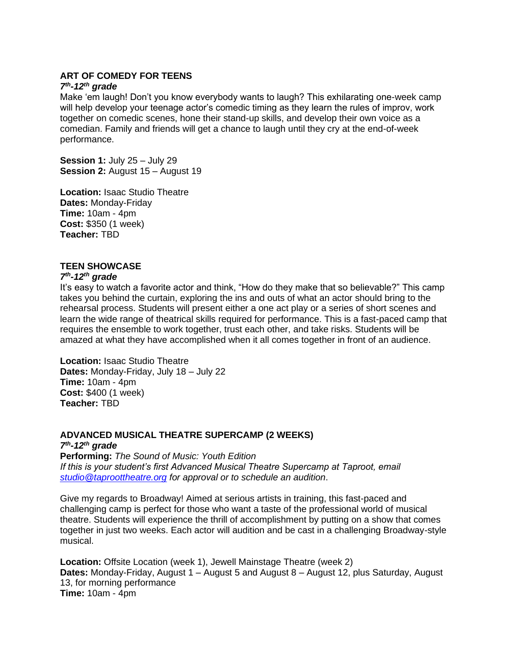## **ART OF COMEDY FOR TEENS**

#### *7 th -12th grade*

Make 'em laugh! Don't you know everybody wants to laugh? This exhilarating one-week camp will help develop your teenage actor's comedic timing as they learn the rules of improv, work together on comedic scenes, hone their stand-up skills, and develop their own voice as a comedian. Family and friends will get a chance to laugh until they cry at the end-of-week performance.

**Session 1:** July 25 – July 29 **Session 2: August 15 – August 19** 

**Location:** Isaac Studio Theatre **Dates:** Monday-Friday **Time:** 10am - 4pm **Cost:** \$350 (1 week) **Teacher:** TBD

# **TEEN SHOWCASE**

#### *7 th -12th grade*

It's easy to watch a favorite actor and think, "How do they make that so believable?" This camp takes you behind the curtain, exploring the ins and outs of what an actor should bring to the rehearsal process. Students will present either a one act play or a series of short scenes and learn the wide range of theatrical skills required for performance. This is a fast-paced camp that requires the ensemble to work together, trust each other, and take risks. Students will be amazed at what they have accomplished when it all comes together in front of an audience.

**Location:** Isaac Studio Theatre **Dates:** Monday-Friday, July 18 – July 22 **Time:** 10am - 4pm **Cost:** \$400 (1 week) **Teacher:** TBD

#### **ADVANCED MUSICAL THEATRE SUPERCAMP (2 WEEKS)** *7 th -12th grade*

**Performing:** *The Sound of Music: Youth Edition If this is your student's first Advanced Musical Theatre Supercamp at Taproot, email [studio@taproottheatre.org](mailto:studio@taproottheatre.org) for approval or to schedule an audition*.

Give my regards to Broadway! Aimed at serious artists in training, this fast-paced and challenging camp is perfect for those who want a taste of the professional world of musical theatre. Students will experience the thrill of accomplishment by putting on a show that comes together in just two weeks. Each actor will audition and be cast in a challenging Broadway-style musical.

**Location:** Offsite Location (week 1), Jewell Mainstage Theatre (week 2) **Dates:** Monday-Friday, August 1 – August 5 and August 8 – August 12, plus Saturday, August 13, for morning performance **Time:** 10am - 4pm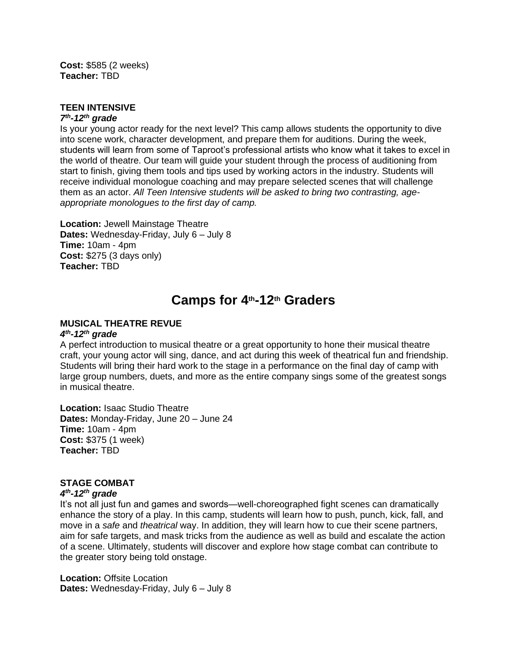**Cost:** \$585 (2 weeks) **Teacher:** TBD

#### **TEEN INTENSIVE** *7 th -12th grade*

Is your young actor ready for the next level? This camp allows students the opportunity to dive into scene work, character development, and prepare them for auditions. During the week, students will learn from some of Taproot's professional artists who know what it takes to excel in the world of theatre. Our team will guide your student through the process of auditioning from start to finish, giving them tools and tips used by working actors in the industry. Students will receive individual monologue coaching and may prepare selected scenes that will challenge them as an actor. *All Teen Intensive students will be asked to bring two contrasting, ageappropriate monologues to the first day of camp.*

**Location:** Jewell Mainstage Theatre **Dates:** Wednesday-Friday, July 6 – July 8 **Time:** 10am - 4pm **Cost:** \$275 (3 days only) **Teacher:** TBD

# **Camps for 4th-12th Graders**

# **MUSICAL THEATRE REVUE**

# *4 th -12th grade*

A perfect introduction to musical theatre or a great opportunity to hone their musical theatre craft, your young actor will sing, dance, and act during this week of theatrical fun and friendship. Students will bring their hard work to the stage in a performance on the final day of camp with large group numbers, duets, and more as the entire company sings some of the greatest songs in musical theatre.

**Location:** Isaac Studio Theatre **Dates:** Monday-Friday, June 20 – June 24 **Time:** 10am - 4pm **Cost:** \$375 (1 week) **Teacher:** TBD

# **STAGE COMBAT**

#### *4 th -12th grade*

It's not all just fun and games and swords—well-choreographed fight scenes can dramatically enhance the story of a play. In this camp, students will learn how to push, punch, kick, fall, and move in a *safe* and *theatrical* way. In addition, they will learn how to cue their scene partners, aim for safe targets, and mask tricks from the audience as well as build and escalate the action of a scene. Ultimately, students will discover and explore how stage combat can contribute to the greater story being told onstage.

**Location:** Offsite Location **Dates:** Wednesday-Friday, July 6 – July 8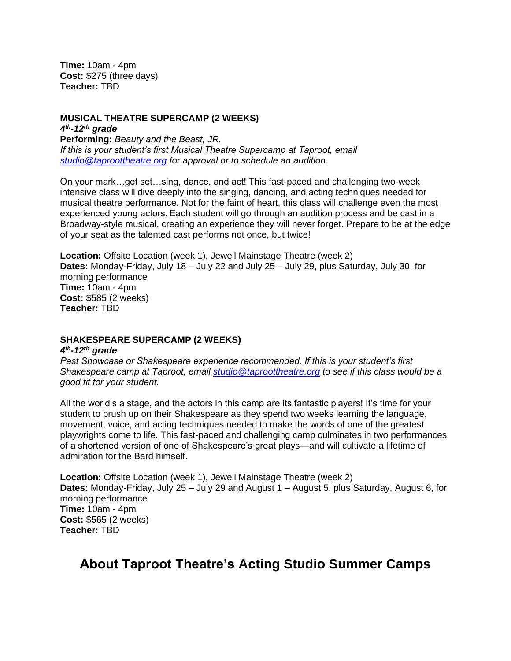**Time:** 10am - 4pm **Cost:** \$275 (three days) **Teacher:** TBD

## **MUSICAL THEATRE SUPERCAMP (2 WEEKS)**

*4 th -12th grade*

**Performing:** *Beauty and the Beast, JR. If this is your student's first Musical Theatre Supercamp at Taproot, email [studio@taproottheatre.org](mailto:studio@taproottheatre.org) for approval or to schedule an audition*.

On your mark…get set…sing, dance, and act! This fast-paced and challenging two-week intensive class will dive deeply into the singing, dancing, and acting techniques needed for musical theatre performance. Not for the faint of heart, this class will challenge even the most experienced young actors. Each student will go through an audition process and be cast in a Broadway-style musical, creating an experience they will never forget. Prepare to be at the edge of your seat as the talented cast performs not once, but twice!

**Location:** Offsite Location (week 1), Jewell Mainstage Theatre (week 2) **Dates:** Monday-Friday, July 18 – July 22 and July 25 – July 29, plus Saturday, July 30, for morning performance **Time:** 10am - 4pm **Cost:** \$585 (2 weeks) **Teacher:** TBD

# **SHAKESPEARE SUPERCAMP (2 WEEKS)**

#### *4 th -12th grade*

*Past Showcase or Shakespeare experience recommended. If this is your student's first Shakespeare camp at Taproot, email [studio@taproottheatre.org](mailto:studio@taproottheatre.org) to see if this class would be a good fit for your student.*

All the world's a stage, and the actors in this camp are its fantastic players! It's time for your student to brush up on their Shakespeare as they spend two weeks learning the language, movement, voice, and acting techniques needed to make the words of one of the greatest playwrights come to life. This fast-paced and challenging camp culminates in two performances of a shortened version of one of Shakespeare's great plays—and will cultivate a lifetime of admiration for the Bard himself. 

**Location:** Offsite Location (week 1), Jewell Mainstage Theatre (week 2) **Dates:** Monday-Friday, July 25 – July 29 and August 1 – August 5, plus Saturday, August 6, for morning performance **Time:** 10am - 4pm **Cost:** \$565 (2 weeks) **Teacher:** TBD

# **About Taproot Theatre's Acting Studio Summer Camps**